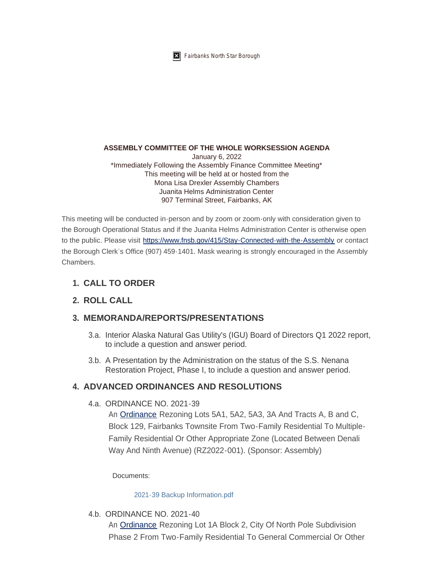

#### **ASSEMBLY COMMITTEE OF THE WHOLE WORKSESSION AGENDA**

January 6, 2022 \*Immediately Following the Assembly Finance Committee Meeting\* This meeting will be held at or hosted from the Mona Lisa Drexler Assembly Chambers Juanita Helms Administration Center 907 Terminal Street, Fairbanks, AK

This meeting will be conducted in-person and by zoom or zoom-only with consideration given to the Borough Operational Status and if the Juanita Helms Administration Center is otherwise open to the public. Please visit <https://www.fnsb.gov/415/Stay-Connected-with-the-Assembly>or contact the Borough Clerk's Office (907) 459-1401. Mask wearing is strongly encouraged in the Assembly **Chambers** 

## **CALL TO ORDER 1.**

# **ROLL CALL 2.**

## **MEMORANDA/REPORTS/PRESENTATIONS 3.**

- 3.a. Interior Alaska Natural Gas Utility's (IGU) Board of Directors Q1 2022 report, to include a question and answer period.
- 3.b. A Presentation by the Administration on the status of the S.S. Nenana Restoration Project, Phase I, to include a question and answer period.

### **4. ADVANCED ORDINANCES AND RESOLUTIONS**

4.a. ORDINANCE NO. 2021-39

An [Ordinance](https://www.fnsb.gov/DocumentCenter/View/8646/ORDINANCE-NO-2021-39) Rezoning Lots 5A1, 5A2, 5A3, 3A And Tracts A, B and C, Block 129, Fairbanks Townsite From Two-Family Residential To Multiple-Family Residential Or Other Appropriate Zone (Located Between Denali Way And Ninth Avenue) (RZ2022-001). (Sponsor: Assembly)

Documents:

#### [2021-39 Backup Information.pdf](https://www.fnsb.gov/AgendaCenter/ViewFile/Item/8004?fileID=10470)

4.b. ORDINANCE NO. 2021-40

An [Ordinance](https://www.fnsb.gov/DocumentCenter/View/8647/ORDINANCE-NO-2021-40) Rezoning Lot 1A Block 2, City Of North Pole Subdivision Phase 2 From Two-Family Residential To General Commercial Or Other